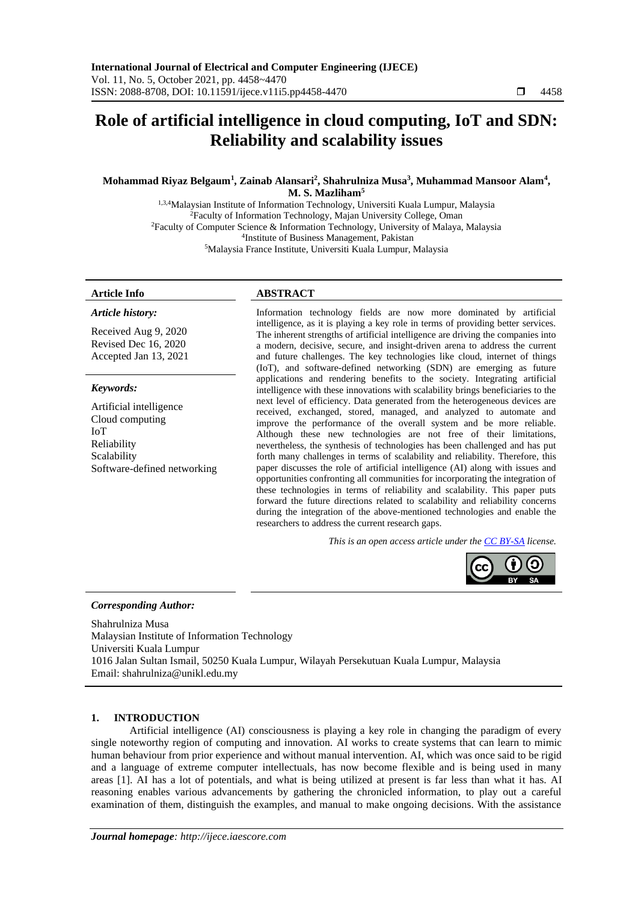# **Role of artificial intelligence in cloud computing, IoT and SDN: Reliability and scalability issues**

# **Mohammad Riyaz Belgaum<sup>1</sup> , Zainab Alansari<sup>2</sup> , Shahrulniza Musa<sup>3</sup> , Muhammad Mansoor Alam<sup>4</sup> , M. S. Mazliham<sup>5</sup>**

1,3,4Malaysian Institute of Information Technology, Universiti Kuala Lumpur, Malaysia <sup>2</sup>Faculty of Information Technology, Majan University College, Oman <sup>2</sup>Faculty of Computer Science & Information Technology, University of Malaya, Malaysia 4 Institute of Business Management, Pakistan <sup>5</sup>Malaysia France Institute, Universiti Kuala Lumpur, Malaysia

#### **Article Info ABSTRACT**

#### *Article history:*

Received Aug 9, 2020 Revised Dec 16, 2020 Accepted Jan 13, 2021

#### *Keywords:*

Artificial intelligence Cloud computing IoT Reliability Scalability Software-defined networking

Information technology fields are now more dominated by artificial intelligence, as it is playing a key role in terms of providing better services. The inherent strengths of artificial intelligence are driving the companies into a modern, decisive, secure, and insight-driven arena to address the current and future challenges. The key technologies like cloud, internet of things (IoT), and software-defined networking (SDN) are emerging as future applications and rendering benefits to the society. Integrating artificial intelligence with these innovations with scalability brings beneficiaries to the next level of efficiency. Data generated from the heterogeneous devices are received, exchanged, stored, managed, and analyzed to automate and improve the performance of the overall system and be more reliable. Although these new technologies are not free of their limitations, nevertheless, the synthesis of technologies has been challenged and has put forth many challenges in terms of scalability and reliability. Therefore, this paper discusses the role of artificial intelligence (AI) along with issues and opportunities confronting all communities for incorporating the integration of these technologies in terms of reliability and scalability. This paper puts forward the future directions related to scalability and reliability concerns during the integration of the above-mentioned technologies and enable the researchers to address the current research gaps.

*This is an open access article under the [CC BY-SA](https://creativecommons.org/licenses/by-sa/4.0/) license.*



#### *Corresponding Author:*

Shahrulniza Musa Malaysian Institute of Information Technology Universiti Kuala Lumpur 1016 Jalan Sultan Ismail, 50250 Kuala Lumpur, Wilayah Persekutuan Kuala Lumpur, Malaysia Email: shahrulniza@unikl.edu.my

## **1. INTRODUCTION**

Artificial intelligence (AI) consciousness is playing a key role in changing the paradigm of every single noteworthy region of computing and innovation. AI works to create systems that can learn to mimic human behaviour from prior experience and without manual intervention. AI, which was once said to be rigid and a language of extreme computer intellectuals, has now become flexible and is being used in many areas [1]. AI has a lot of potentials, and what is being utilized at present is far less than what it has. AI reasoning enables various advancements by gathering the chronicled information, to play out a careful examination of them, distinguish the examples, and manual to make ongoing decisions. With the assistance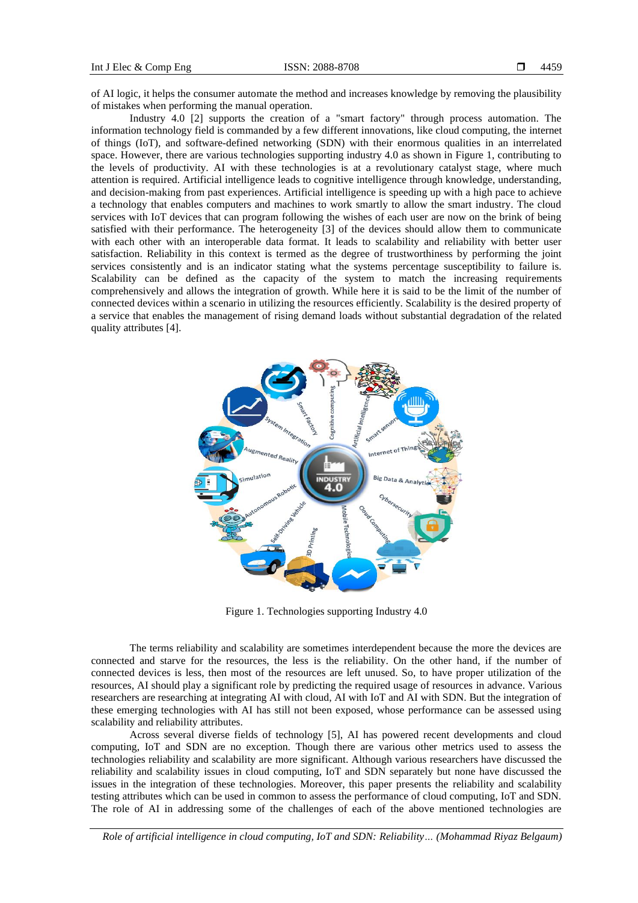of AI logic, it helps the consumer automate the method and increases knowledge by removing the plausibility of mistakes when performing the manual operation.

Industry 4.0 [2] supports the creation of a "smart factory" through process automation. The information technology field is commanded by a few different innovations, like cloud computing, the internet of things (IoT), and software-defined networking (SDN) with their enormous qualities in an interrelated space. However, there are various technologies supporting industry 4.0 as shown in Figure 1, contributing to the levels of productivity. AI with these technologies is at a revolutionary catalyst stage, where much attention is required. Artificial intelligence leads to cognitive intelligence through knowledge, understanding, and decision-making from past experiences. Artificial intelligence is speeding up with a high pace to achieve a technology that enables computers and machines to work smartly to allow the smart industry. The cloud services with IoT devices that can program following the wishes of each user are now on the brink of being satisfied with their performance. The heterogeneity [3] of the devices should allow them to communicate with each other with an interoperable data format. It leads to scalability and reliability with better user satisfaction. Reliability in this context is termed as the degree of trustworthiness by performing the joint services consistently and is an indicator stating what the systems percentage susceptibility to failure is. Scalability can be defined as the capacity of the system to match the increasing requirements comprehensively and allows the integration of growth. While here it is said to be the limit of the number of connected devices within a scenario in utilizing the resources efficiently. Scalability is the desired property of a service that enables the management of rising demand loads without substantial degradation of the related quality attributes [4].



Figure 1. Technologies supporting Industry 4.0

The terms reliability and scalability are sometimes interdependent because the more the devices are connected and starve for the resources, the less is the reliability. On the other hand, if the number of connected devices is less, then most of the resources are left unused. So, to have proper utilization of the resources, AI should play a significant role by predicting the required usage of resources in advance. Various researchers are researching at integrating AI with cloud, AI with IoT and AI with SDN. But the integration of these emerging technologies with AI has still not been exposed, whose performance can be assessed using scalability and reliability attributes.

Across several diverse fields of technology [5], AI has powered recent developments and cloud computing, IoT and SDN are no exception. Though there are various other metrics used to assess the technologies reliability and scalability are more significant. Although various researchers have discussed the reliability and scalability issues in cloud computing, IoT and SDN separately but none have discussed the issues in the integration of these technologies. Moreover, this paper presents the reliability and scalability testing attributes which can be used in common to assess the performance of cloud computing, IoT and SDN. The role of AI in addressing some of the challenges of each of the above mentioned technologies are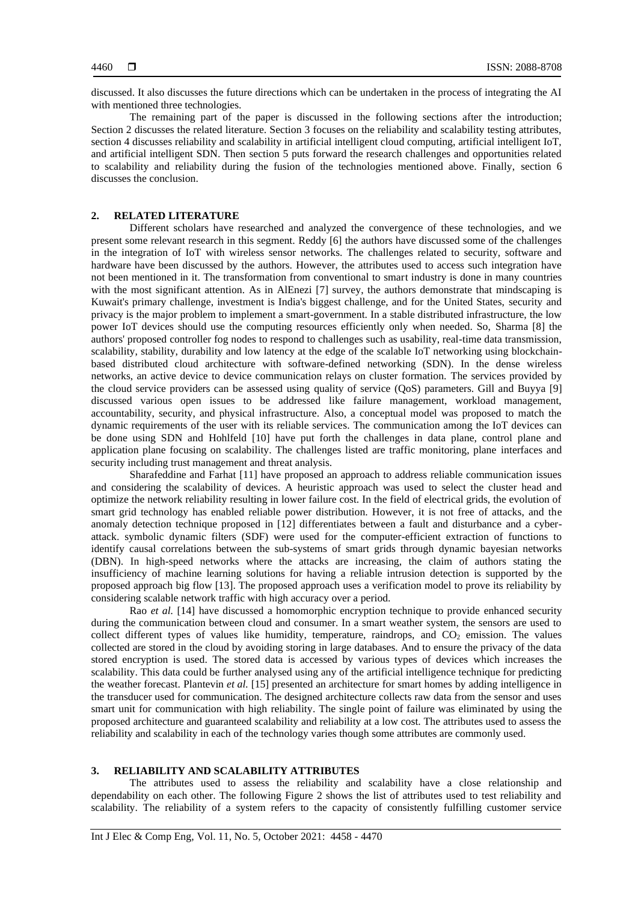discussed. It also discusses the future directions which can be undertaken in the process of integrating the AI with mentioned three technologies.

The remaining part of the paper is discussed in the following sections after the introduction; Section 2 discusses the related literature. Section 3 focuses on the reliability and scalability testing attributes, section 4 discusses reliability and scalability in artificial intelligent cloud computing, artificial intelligent IoT, and artificial intelligent SDN. Then section 5 puts forward the research challenges and opportunities related to scalability and reliability during the fusion of the technologies mentioned above. Finally, section 6 discusses the conclusion.

# **2. RELATED LITERATURE**

Different scholars have researched and analyzed the convergence of these technologies, and we present some relevant research in this segment. Reddy [6] the authors have discussed some of the challenges in the integration of IoT with wireless sensor networks. The challenges related to security, software and hardware have been discussed by the authors. However, the attributes used to access such integration have not been mentioned in it. The transformation from conventional to smart industry is done in many countries with the most significant attention. As in AlEnezi [7] survey, the authors demonstrate that mindscaping is Kuwait's primary challenge, investment is India's biggest challenge, and for the United States, security and privacy is the major problem to implement a smart-government. In a stable distributed infrastructure, the low power IoT devices should use the computing resources efficiently only when needed. So, Sharma [8] the authors' proposed controller fog nodes to respond to challenges such as usability, real-time data transmission, scalability, stability, durability and low latency at the edge of the scalable IoT networking using blockchainbased distributed cloud architecture with software-defined networking (SDN). In the dense wireless networks, an active device to device communication relays on cluster formation. The services provided by the cloud service providers can be assessed using quality of service (QoS) parameters. Gill and Buyya [9] discussed various open issues to be addressed like failure management, workload management, accountability, security, and physical infrastructure. Also, a conceptual model was proposed to match the dynamic requirements of the user with its reliable services. The communication among the IoT devices can be done using SDN and Hohlfeld [10] have put forth the challenges in data plane, control plane and application plane focusing on scalability. The challenges listed are traffic monitoring, plane interfaces and security including trust management and threat analysis.

Sharafeddine and Farhat [11] have proposed an approach to address reliable communication issues and considering the scalability of devices. A heuristic approach was used to select the cluster head and optimize the network reliability resulting in lower failure cost. In the field of electrical grids, the evolution of smart grid technology has enabled reliable power distribution. However, it is not free of attacks, and the anomaly detection technique proposed in [12] differentiates between a fault and disturbance and a cyberattack. symbolic dynamic filters (SDF) were used for the computer-efficient extraction of functions to identify causal correlations between the sub-systems of smart grids through dynamic bayesian networks (DBN). In high-speed networks where the attacks are increasing, the claim of authors stating the insufficiency of machine learning solutions for having a reliable intrusion detection is supported by the proposed approach big flow [13]. The proposed approach uses a verification model to prove its reliability by considering scalable network traffic with high accuracy over a period.

Rao *et al.* [14] have discussed a homomorphic encryption technique to provide enhanced security during the communication between cloud and consumer. In a smart weather system, the sensors are used to collect different types of values like humidity, temperature, raindrops, and  $CO<sub>2</sub>$  emission. The values collected are stored in the cloud by avoiding storing in large databases. And to ensure the privacy of the data stored encryption is used. The stored data is accessed by various types of devices which increases the scalability. This data could be further analysed using any of the artificial intelligence technique for predicting the weather forecast. Plantevin *et al.* [15] presented an architecture for smart homes by adding intelligence in the transducer used for communication. The designed architecture collects raw data from the sensor and uses smart unit for communication with high reliability. The single point of failure was eliminated by using the proposed architecture and guaranteed scalability and reliability at a low cost. The attributes used to assess the reliability and scalability in each of the technology varies though some attributes are commonly used.

#### **3. RELIABILITY AND SCALABILITY ATTRIBUTES**

The attributes used to assess the reliability and scalability have a close relationship and dependability on each other. The following Figure 2 shows the list of attributes used to test reliability and scalability. The reliability of a system refers to the capacity of consistently fulfilling customer service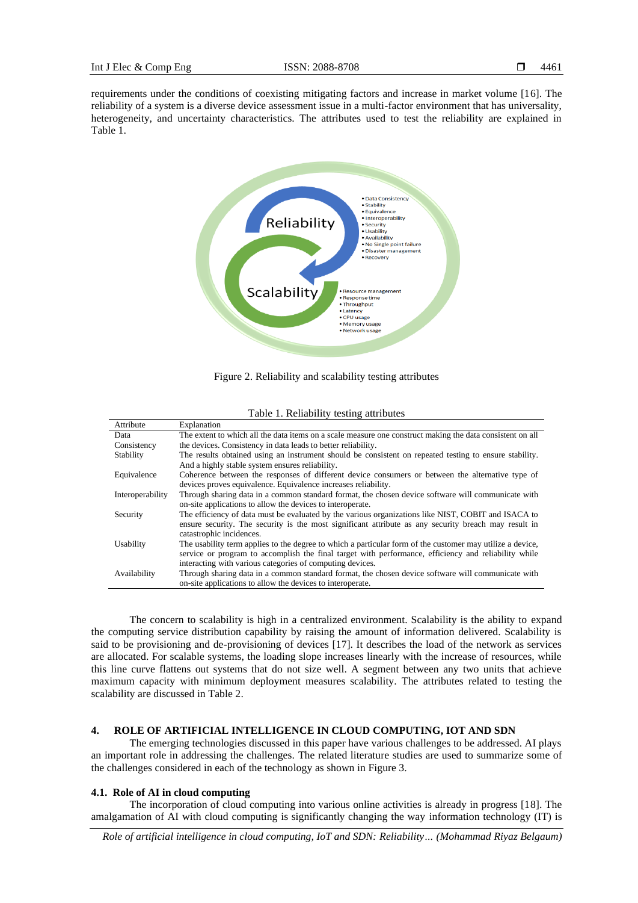requirements under the conditions of coexisting mitigating factors and increase in market volume [16]. The reliability of a system is a diverse device assessment issue in a multi-factor environment that has universality, heterogeneity, and uncertainty characteristics. The attributes used to test the reliability are explained in Table 1.



Figure 2. Reliability and scalability testing attributes

| Attribute        | Explanation                                                                                               |  |
|------------------|-----------------------------------------------------------------------------------------------------------|--|
| Data             | The extent to which all the data items on a scale measure one construct making the data consistent on all |  |
| Consistency      | the devices. Consistency in data leads to better reliability.                                             |  |
| Stability        | The results obtained using an instrument should be consistent on repeated testing to ensure stability.    |  |
|                  | And a highly stable system ensures reliability.                                                           |  |
| Equivalence      | Coherence between the responses of different device consumers or between the alternative type of          |  |
|                  | devices proves equivalence. Equivalence increases reliability.                                            |  |
| Interoperability | Through sharing data in a common standard format, the chosen device software will communicate with        |  |
|                  | on-site applications to allow the devices to interoperate.                                                |  |
| Security         | The efficiency of data must be evaluated by the various organizations like NIST, COBIT and ISACA to       |  |
|                  | ensure security. The security is the most significant attribute as any security breach may result in      |  |
|                  | catastrophic incidences.                                                                                  |  |
| Usability        | The usability term applies to the degree to which a particular form of the customer may utilize a device, |  |
|                  | service or program to accomplish the final target with performance, efficiency and reliability while      |  |
|                  | interacting with various categories of computing devices.                                                 |  |
| Availability     | Through sharing data in a common standard format, the chosen device software will communicate with        |  |
|                  | on-site applications to allow the devices to interoperate.                                                |  |

Table 1. Reliability testing attributes

The concern to scalability is high in a centralized environment. Scalability is the ability to expand the computing service distribution capability by raising the amount of information delivered. Scalability is said to be provisioning and de-provisioning of devices [17]. It describes the load of the network as services are allocated. For scalable systems, the loading slope increases linearly with the increase of resources, while this line curve flattens out systems that do not size well. A segment between any two units that achieve maximum capacity with minimum deployment measures scalability. The attributes related to testing the scalability are discussed in Table 2.

# **4. ROLE OF ARTIFICIAL INTELLIGENCE IN CLOUD COMPUTING, IOT AND SDN**

The emerging technologies discussed in this paper have various challenges to be addressed. AI plays an important role in addressing the challenges. The related literature studies are used to summarize some of the challenges considered in each of the technology as shown in Figure 3.

#### **4.1. Role of AI in cloud computing**

The incorporation of cloud computing into various online activities is already in progress [18]. The amalgamation of AI with cloud computing is significantly changing the way information technology (IT) is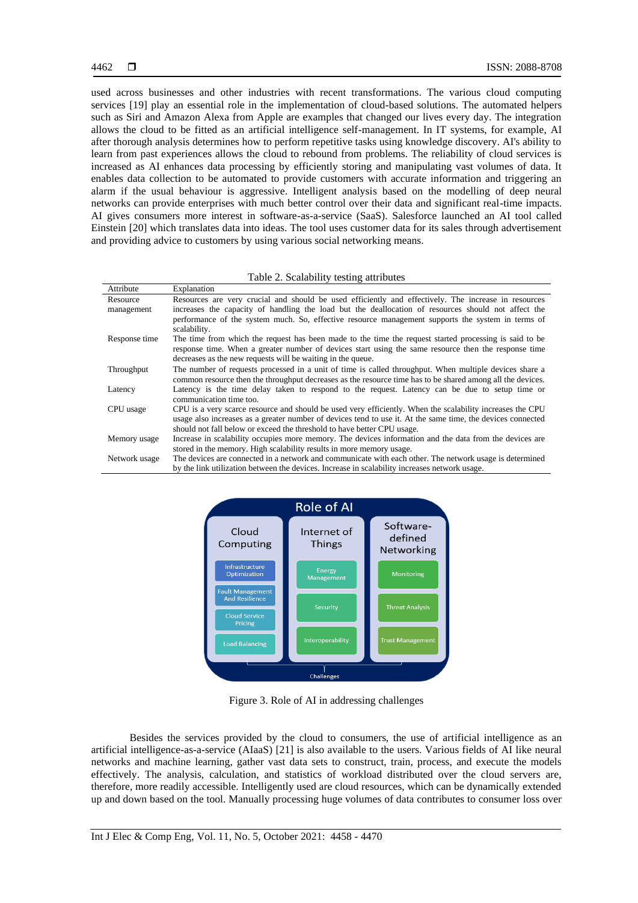used across businesses and other industries with recent transformations. The various cloud computing services [19] play an essential role in the implementation of cloud-based solutions. The automated helpers such as Siri and Amazon Alexa from Apple are examples that changed our lives every day. The integration allows the cloud to be fitted as an artificial intelligence self-management. In IT systems, for example, AI after thorough analysis determines how to perform repetitive tasks using knowledge discovery. AI's ability to learn from past experiences allows the cloud to rebound from problems. The reliability of cloud services is increased as AI enhances data processing by efficiently storing and manipulating vast volumes of data. It enables data collection to be automated to provide customers with accurate information and triggering an alarm if the usual behaviour is aggressive. Intelligent analysis based on the modelling of deep neural networks can provide enterprises with much better control over their data and significant real-time impacts. AI gives consumers more interest in software-as-a-service (SaaS). Salesforce launched an AI tool called Einstein [20] which translates data into ideas. The tool uses customer data for its sales through advertisement and providing advice to customers by using various social networking means.

Table 2. Scalability testing attributes

| Attribute     | Explanation                                                                                                 |
|---------------|-------------------------------------------------------------------------------------------------------------|
| Resource      | Resources are very crucial and should be used efficiently and effectively. The increase in resources        |
| management    | increases the capacity of handling the load but the deallocation of resources should not affect the         |
|               | performance of the system much. So, effective resource management supports the system in terms of           |
|               | scalability.                                                                                                |
| Response time | The time from which the request has been made to the time the request started processing is said to be      |
|               | response time. When a greater number of devices start using the same resource then the response time        |
|               | decreases as the new requests will be waiting in the queue.                                                 |
| Throughput    | The number of requests processed in a unit of time is called throughput. When multiple devices share a      |
|               | common resource then the throughput decreases as the resource time has to be shared among all the devices.  |
| Latency       | Latency is the time delay taken to respond to the request. Latency can be due to setup time or              |
|               | communication time too.                                                                                     |
| CPU usage     | CPU is a very scarce resource and should be used very efficiently. When the scalability increases the CPU   |
|               | usage also increases as a greater number of devices tend to use it. At the same time, the devices connected |
|               | should not fall below or exceed the threshold to have better CPU usage.                                     |
| Memory usage  | Increase in scalability occupies more memory. The devices information and the data from the devices are     |
|               | stored in the memory. High scalability results in more memory usage.                                        |
| Network usage | The devices are connected in a network and communicate with each other. The network usage is determined     |
|               | by the link utilization between the devices. Increase in scalability increases network usage.               |



Figure 3. Role of AI in addressing challenges

Besides the services provided by the cloud to consumers, the use of artificial intelligence as an artificial intelligence-as-a-service (AIaaS) [21] is also available to the users. Various fields of AI like neural networks and machine learning, gather vast data sets to construct, train, process, and execute the models effectively. The analysis, calculation, and statistics of workload distributed over the cloud servers are, therefore, more readily accessible. Intelligently used are cloud resources, which can be dynamically extended up and down based on the tool. Manually processing huge volumes of data contributes to consumer loss over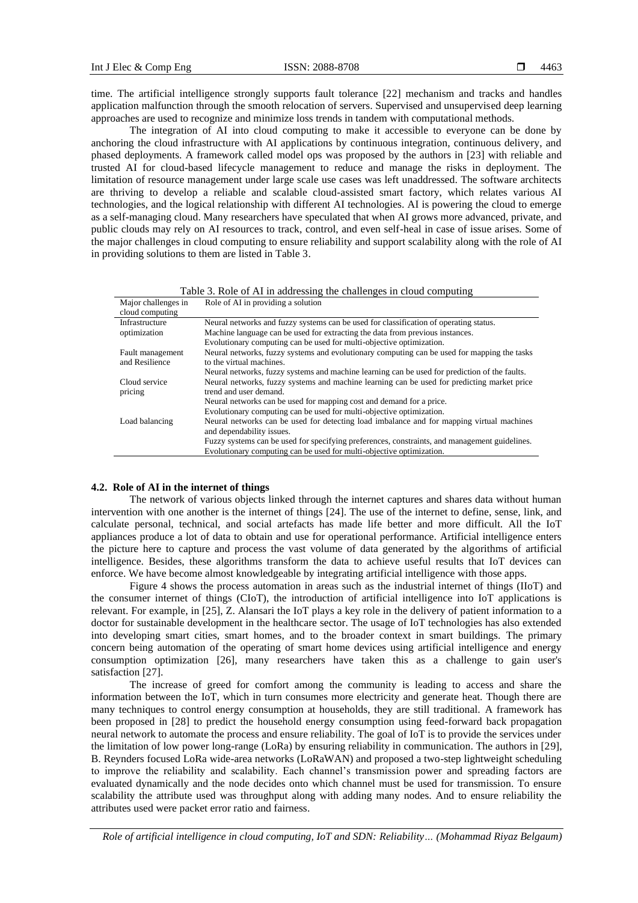time. The artificial intelligence strongly supports fault tolerance [22] mechanism and tracks and handles application malfunction through the smooth relocation of servers. Supervised and unsupervised deep learning approaches are used to recognize and minimize loss trends in tandem with computational methods.

The integration of AI into cloud computing to make it accessible to everyone can be done by anchoring the cloud infrastructure with AI applications by continuous integration, continuous delivery, and phased deployments. A framework called model ops was proposed by the authors in [23] with reliable and trusted AI for cloud-based lifecycle management to reduce and manage the risks in deployment. The limitation of resource management under large scale use cases was left unaddressed. The software architects are thriving to develop a reliable and scalable cloud-assisted smart factory, which relates various AI technologies, and the logical relationship with different AI technologies. AI is powering the cloud to emerge as a self-managing cloud. Many researchers have speculated that when AI grows more advanced, private, and public clouds may rely on AI resources to track, control, and even self-heal in case of issue arises. Some of the major challenges in cloud computing to ensure reliability and support scalability along with the role of AI in providing solutions to them are listed in Table 3.

| Major challenges in | Role of AI in providing a solution                                                            |
|---------------------|-----------------------------------------------------------------------------------------------|
| cloud computing     |                                                                                               |
| Infrastructure      | Neural networks and fuzzy systems can be used for classification of operating status.         |
| optimization        | Machine language can be used for extracting the data from previous instances.                 |
|                     | Evolutionary computing can be used for multi-objective optimization.                          |
| Fault management    | Neural networks, fuzzy systems and evolutionary computing can be used for mapping the tasks   |
| and Resilience      | to the virtual machines.                                                                      |
|                     | Neural networks, fuzzy systems and machine learning can be used for prediction of the faults. |
| Cloud service       | Neural networks, fuzzy systems and machine learning can be used for predicting market price   |
| pricing             | trend and user demand.                                                                        |
|                     | Neural networks can be used for mapping cost and demand for a price.                          |
|                     | Evolutionary computing can be used for multi-objective optimization.                          |
| Load balancing      | Neural networks can be used for detecting load imbalance and for mapping virtual machines     |
|                     | and dependability issues.                                                                     |
|                     | Fuzzy systems can be used for specifying preferences, constraints, and management guidelines. |
|                     | Evolutionary computing can be used for multi-objective optimization.                          |
|                     |                                                                                               |

#### **4.2. Role of AI in the internet of things**

The network of various objects linked through the internet captures and shares data without human intervention with one another is the internet of things [24]. The use of the internet to define, sense, link, and calculate personal, technical, and social artefacts has made life better and more difficult. All the IoT appliances produce a lot of data to obtain and use for operational performance. Artificial intelligence enters the picture here to capture and process the vast volume of data generated by the algorithms of artificial intelligence. Besides, these algorithms transform the data to achieve useful results that IoT devices can enforce. We have become almost knowledgeable by integrating artificial intelligence with those apps.

Figure 4 shows the process automation in areas such as the industrial internet of things (IIoT) and the consumer internet of things (CIoT), the introduction of artificial intelligence into IoT applications is relevant. For example, in [25], Z. Alansari the IoT plays a key role in the delivery of patient information to a doctor for sustainable development in the healthcare sector. The usage of IoT technologies has also extended into developing smart cities, smart homes, and to the broader context in smart buildings. The primary concern being automation of the operating of smart home devices using artificial intelligence and energy consumption optimization [26], many researchers have taken this as a challenge to gain user's satisfaction [27].

The increase of greed for comfort among the community is leading to access and share the information between the IoT, which in turn consumes more electricity and generate heat. Though there are many techniques to control energy consumption at households, they are still traditional. A framework has been proposed in [28] to predict the household energy consumption using feed-forward back propagation neural network to automate the process and ensure reliability. The goal of IoT is to provide the services under the limitation of low power long-range (LoRa) by ensuring reliability in communication. The authors in [29], B. Reynders focused LoRa wide-area networks (LoRaWAN) and proposed a two-step lightweight scheduling to improve the reliability and scalability. Each channel's transmission power and spreading factors are evaluated dynamically and the node decides onto which channel must be used for transmission. To ensure scalability the attribute used was throughput along with adding many nodes. And to ensure reliability the attributes used were packet error ratio and fairness.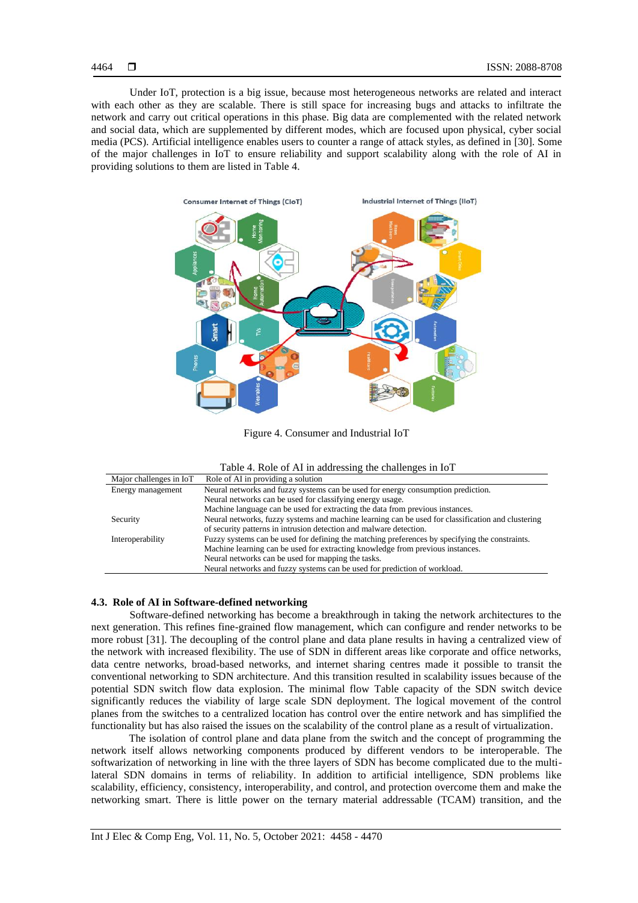Under IoT, protection is a big issue, because most heterogeneous networks are related and interact with each other as they are scalable. There is still space for increasing bugs and attacks to infiltrate the network and carry out critical operations in this phase. Big data are complemented with the related network and social data, which are supplemented by different modes, which are focused upon physical, cyber social media (PCS). Artificial intelligence enables users to counter a range of attack styles, as defined in [30]. Some of the major challenges in IoT to ensure reliability and support scalability along with the role of AI in providing solutions to them are listed in Table 4.



Figure 4. Consumer and Industrial IoT

| Major challenges in IoT | Role of AI in providing a solution                                                                |
|-------------------------|---------------------------------------------------------------------------------------------------|
| Energy management       | Neural networks and fuzzy systems can be used for energy consumption prediction.                  |
|                         | Neural networks can be used for classifying energy usage.                                         |
|                         | Machine language can be used for extracting the data from previous instances.                     |
| Security                | Neural networks, fuzzy systems and machine learning can be used for classification and clustering |
|                         | of security patterns in intrusion detection and malware detection.                                |
| Interoperability        | Fuzzy systems can be used for defining the matching preferences by specifying the constraints.    |
|                         | Machine learning can be used for extracting knowledge from previous instances.                    |
|                         | Neural networks can be used for mapping the tasks.                                                |
|                         | Neural networks and fuzzy systems can be used for prediction of workload.                         |

# **4.3. Role of AI in Software-defined networking**

Software-defined networking has become a breakthrough in taking the network architectures to the next generation. This refines fine-grained flow management, which can configure and render networks to be more robust [31]. The decoupling of the control plane and data plane results in having a centralized view of the network with increased flexibility. The use of SDN in different areas like corporate and office networks, data centre networks, broad-based networks, and internet sharing centres made it possible to transit the conventional networking to SDN architecture. And this transition resulted in scalability issues because of the potential SDN switch flow data explosion. The minimal flow Table capacity of the SDN switch device significantly reduces the viability of large scale SDN deployment. The logical movement of the control planes from the switches to a centralized location has control over the entire network and has simplified the functionality but has also raised the issues on the scalability of the control plane as a result of virtualization.

The isolation of control plane and data plane from the switch and the concept of programming the network itself allows networking components produced by different vendors to be interoperable. The softwarization of networking in line with the three layers of SDN has become complicated due to the multilateral SDN domains in terms of reliability. In addition to artificial intelligence, SDN problems like scalability, efficiency, consistency, interoperability, and control, and protection overcome them and make the networking smart. There is little power on the ternary material addressable (TCAM) transition, and the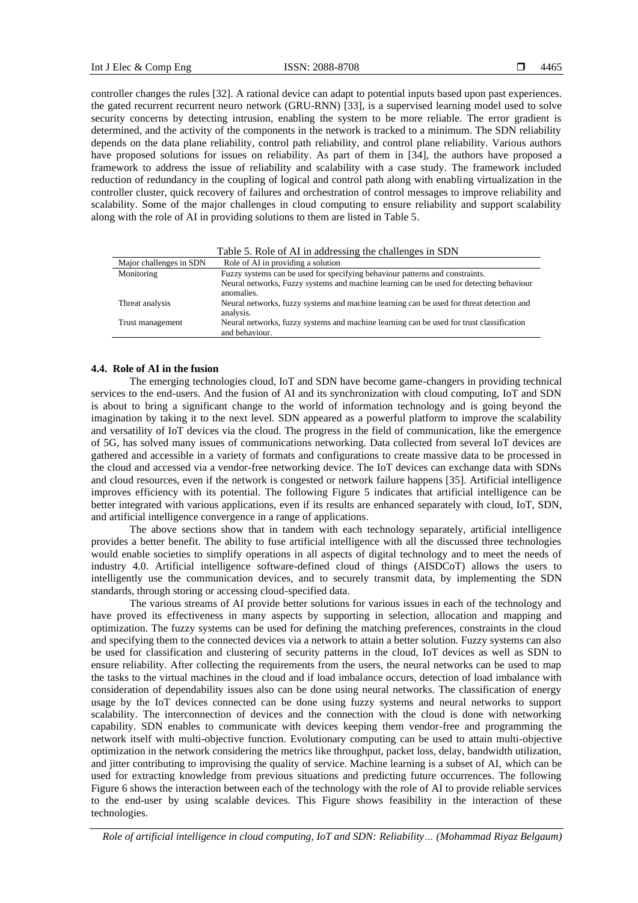controller changes the rules [32]. A rational device can adapt to potential inputs based upon past experiences. the gated recurrent recurrent neuro network (GRU-RNN) [33], is a supervised learning model used to solve security concerns by detecting intrusion, enabling the system to be more reliable. The error gradient is determined, and the activity of the components in the network is tracked to a minimum. The SDN reliability depends on the data plane reliability, control path reliability, and control plane reliability. Various authors have proposed solutions for issues on reliability. As part of them in [34], the authors have proposed a framework to address the issue of reliability and scalability with a case study. The framework included reduction of redundancy in the coupling of logical and control path along with enabling virtualization in the controller cluster, quick recovery of failures and orchestration of control messages to improve reliability and scalability. Some of the major challenges in cloud computing to ensure reliability and support scalability along with the role of AI in providing solutions to them are listed in Table 5.

|                         | Table 5. Role of AI in addressing the challenges in SDN                                                    |
|-------------------------|------------------------------------------------------------------------------------------------------------|
| Major challenges in SDN | Role of AI in providing a solution                                                                         |
| Monitoring              | Fuzzy systems can be used for specifying behaviour patterns and constraints.                               |
|                         | Neural networks, Fuzzy systems and machine learning can be used for detecting behaviour<br>anomalies.      |
| Threat analysis         | Neural networks, fuzzy systems and machine learning can be used for threat detection and<br>analysis.      |
| Trust management        | Neural networks, fuzzy systems and machine learning can be used for trust classification<br>and behaviour. |

# **4.4. Role of AI in the fusion**

The emerging technologies cloud, IoT and SDN have become game-changers in providing technical services to the end-users. And the fusion of AI and its synchronization with cloud computing, IoT and SDN is about to bring a significant change to the world of information technology and is going beyond the imagination by taking it to the next level. SDN appeared as a powerful platform to improve the scalability and versatility of IoT devices via the cloud. The progress in the field of communication, like the emergence of 5G, has solved many issues of communications networking. Data collected from several IoT devices are gathered and accessible in a variety of formats and configurations to create massive data to be processed in the cloud and accessed via a vendor-free networking device. The IoT devices can exchange data with SDNs and cloud resources, even if the network is congested or network failure happens [35]. Artificial intelligence improves efficiency with its potential. The following Figure 5 indicates that artificial intelligence can be better integrated with various applications, even if its results are enhanced separately with cloud, IoT, SDN, and artificial intelligence convergence in a range of applications.

The above sections show that in tandem with each technology separately, artificial intelligence provides a better benefit. The ability to fuse artificial intelligence with all the discussed three technologies would enable societies to simplify operations in all aspects of digital technology and to meet the needs of industry 4.0. Artificial intelligence software-defined cloud of things (AISDCoT) allows the users to intelligently use the communication devices, and to securely transmit data, by implementing the SDN standards, through storing or accessing cloud-specified data.

The various streams of AI provide better solutions for various issues in each of the technology and have proved its effectiveness in many aspects by supporting in selection, allocation and mapping and optimization. The fuzzy systems can be used for defining the matching preferences, constraints in the cloud and specifying them to the connected devices via a network to attain a better solution. Fuzzy systems can also be used for classification and clustering of security patterns in the cloud, IoT devices as well as SDN to ensure reliability. After collecting the requirements from the users, the neural networks can be used to map the tasks to the virtual machines in the cloud and if load imbalance occurs, detection of load imbalance with consideration of dependability issues also can be done using neural networks. The classification of energy usage by the IoT devices connected can be done using fuzzy systems and neural networks to support scalability. The interconnection of devices and the connection with the cloud is done with networking capability. SDN enables to communicate with devices keeping them vendor-free and programming the network itself with multi-objective function. Evolutionary computing can be used to attain multi-objective optimization in the network considering the metrics like throughput, packet loss, delay, bandwidth utilization, and jitter contributing to improvising the quality of service. Machine learning is a subset of AI, which can be used for extracting knowledge from previous situations and predicting future occurrences. The following Figure 6 shows the interaction between each of the technology with the role of AI to provide reliable services to the end-user by using scalable devices. This Figure shows feasibility in the interaction of these technologies.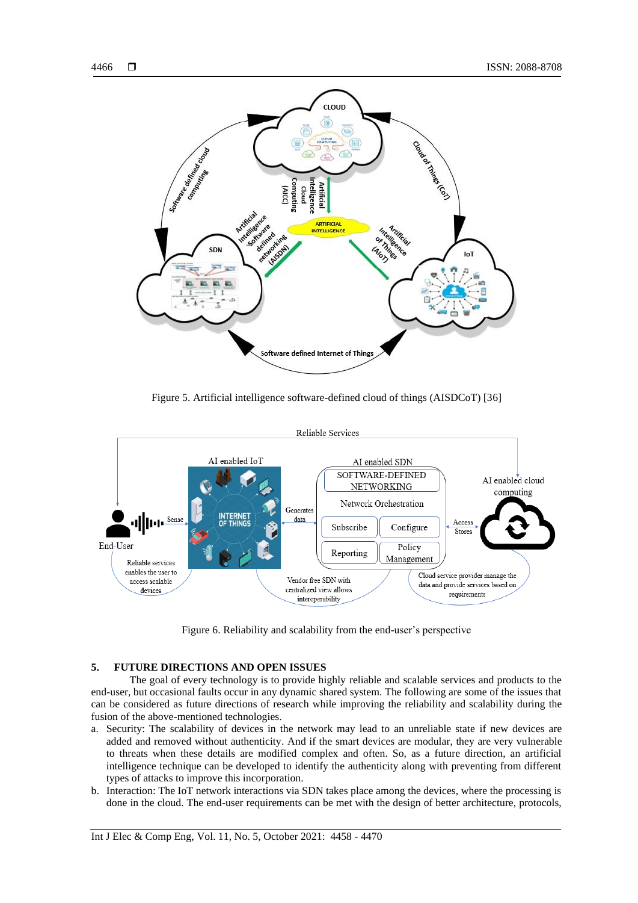

Figure 5. Artificial intelligence software-defined cloud of things (AISDCoT) [36]



Figure 6. Reliability and scalability from the end-user's perspective

# **5. FUTURE DIRECTIONS AND OPEN ISSUES**

The goal of every technology is to provide highly reliable and scalable services and products to the end-user, but occasional faults occur in any dynamic shared system. The following are some of the issues that can be considered as future directions of research while improving the reliability and scalability during the fusion of the above-mentioned technologies.

- a. Security: The scalability of devices in the network may lead to an unreliable state if new devices are added and removed without authenticity. And if the smart devices are modular, they are very vulnerable to threats when these details are modified complex and often. So, as a future direction, an artificial intelligence technique can be developed to identify the authenticity along with preventing from different types of attacks to improve this incorporation.
- b. Interaction: The IoT network interactions via SDN takes place among the devices, where the processing is done in the cloud. The end-user requirements can be met with the design of better architecture, protocols,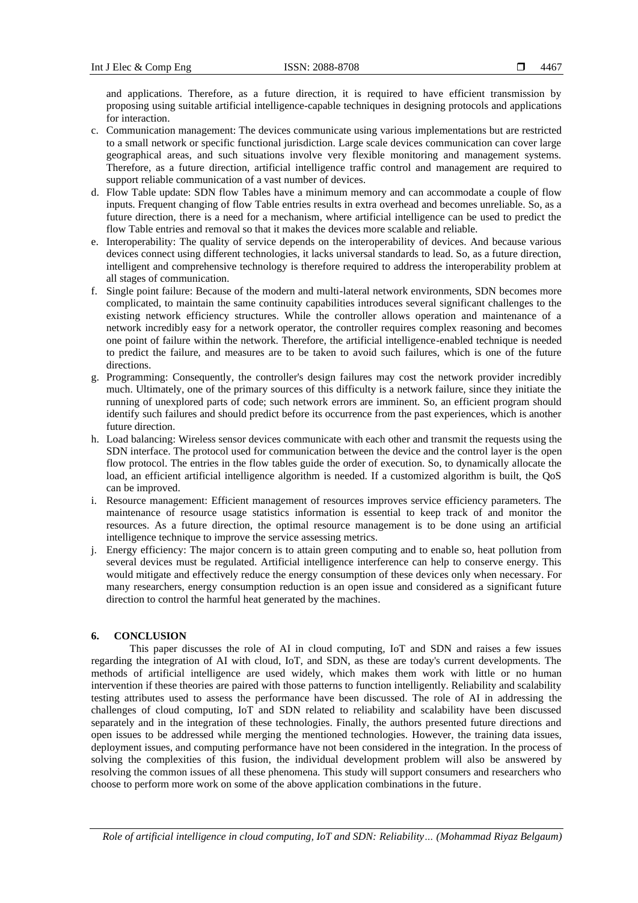and applications. Therefore, as a future direction, it is required to have efficient transmission by proposing using suitable artificial intelligence-capable techniques in designing protocols and applications for interaction.

- c. Communication management: The devices communicate using various implementations but are restricted to a small network or specific functional jurisdiction. Large scale devices communication can cover large geographical areas, and such situations involve very flexible monitoring and management systems. Therefore, as a future direction, artificial intelligence traffic control and management are required to support reliable communication of a vast number of devices.
- d. Flow Table update: SDN flow Tables have a minimum memory and can accommodate a couple of flow inputs. Frequent changing of flow Table entries results in extra overhead and becomes unreliable. So, as a future direction, there is a need for a mechanism, where artificial intelligence can be used to predict the flow Table entries and removal so that it makes the devices more scalable and reliable.
- e. Interoperability: The quality of service depends on the interoperability of devices. And because various devices connect using different technologies, it lacks universal standards to lead. So, as a future direction, intelligent and comprehensive technology is therefore required to address the interoperability problem at all stages of communication.
- f. Single point failure: Because of the modern and multi-lateral network environments, SDN becomes more complicated, to maintain the same continuity capabilities introduces several significant challenges to the existing network efficiency structures. While the controller allows operation and maintenance of a network incredibly easy for a network operator, the controller requires complex reasoning and becomes one point of failure within the network. Therefore, the artificial intelligence-enabled technique is needed to predict the failure, and measures are to be taken to avoid such failures, which is one of the future directions.
- g. Programming: Consequently, the controller's design failures may cost the network provider incredibly much. Ultimately, one of the primary sources of this difficulty is a network failure, since they initiate the running of unexplored parts of code; such network errors are imminent. So, an efficient program should identify such failures and should predict before its occurrence from the past experiences, which is another future direction.
- h. Load balancing: Wireless sensor devices communicate with each other and transmit the requests using the SDN interface. The protocol used for communication between the device and the control layer is the open flow protocol. The entries in the flow tables guide the order of execution. So, to dynamically allocate the load, an efficient artificial intelligence algorithm is needed. If a customized algorithm is built, the QoS can be improved.
- i. Resource management: Efficient management of resources improves service efficiency parameters. The maintenance of resource usage statistics information is essential to keep track of and monitor the resources. As a future direction, the optimal resource management is to be done using an artificial intelligence technique to improve the service assessing metrics.
- j. Energy efficiency: The major concern is to attain green computing and to enable so, heat pollution from several devices must be regulated. Artificial intelligence interference can help to conserve energy. This would mitigate and effectively reduce the energy consumption of these devices only when necessary. For many researchers, energy consumption reduction is an open issue and considered as a significant future direction to control the harmful heat generated by the machines.

## **6. CONCLUSION**

This paper discusses the role of AI in cloud computing, IoT and SDN and raises a few issues regarding the integration of AI with cloud, IoT, and SDN, as these are today's current developments. The methods of artificial intelligence are used widely, which makes them work with little or no human intervention if these theories are paired with those patterns to function intelligently. Reliability and scalability testing attributes used to assess the performance have been discussed. The role of AI in addressing the challenges of cloud computing, IoT and SDN related to reliability and scalability have been discussed separately and in the integration of these technologies. Finally, the authors presented future directions and open issues to be addressed while merging the mentioned technologies. However, the training data issues, deployment issues, and computing performance have not been considered in the integration. In the process of solving the complexities of this fusion, the individual development problem will also be answered by resolving the common issues of all these phenomena. This study will support consumers and researchers who choose to perform more work on some of the above application combinations in the future.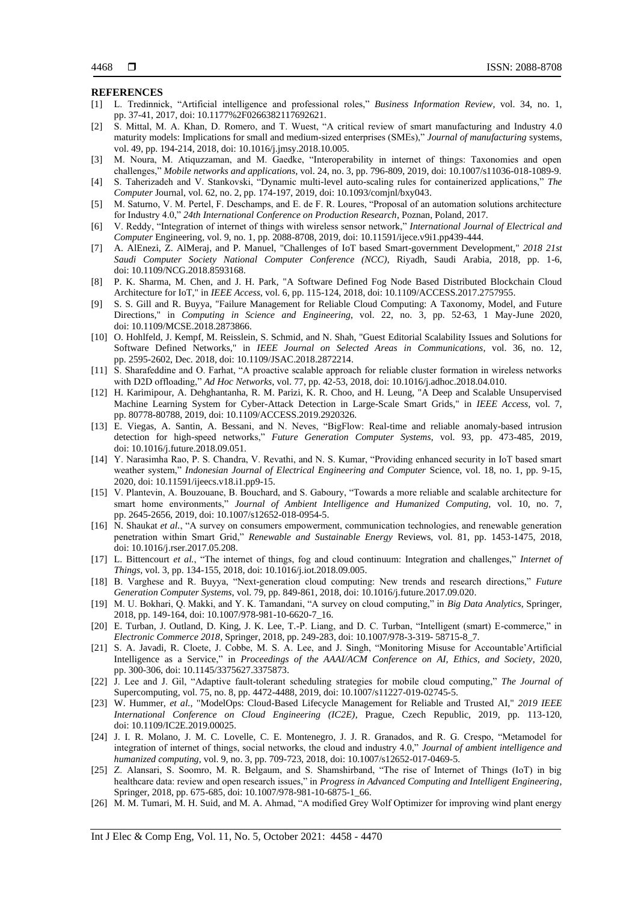#### **REFERENCES**

- [1] L. Tredinnick, "Artificial intelligence and professional roles," *Business Information Review*, vol. 34, no. 1, pp. 37-41, 2017, doi: 10.1177%2F0266382117692621.
- [2] S. Mittal, M. A. Khan, D. Romero, and T. Wuest, "A critical review of smart manufacturing and Industry 4.0 maturity models: Implications for small and medium-sized enterprises (SMEs)," *Journal of manufacturing* systems, vol. 49, pp. 194-214, 2018, doi: 10.1016/j.jmsy.2018.10.005.
- [3] M. Noura, M. Atiquzzaman, and M. Gaedke, "Interoperability in internet of things: Taxonomies and open challenges," *Mobile networks and applications,* vol. 24, no. 3, pp. 796-809, 2019, doi: 10.1007/s11036-018-1089-9.
- [4] S. Taherizadeh and V. Stankovski, "Dynamic multi-level auto-scaling rules for containerized applications," *The Computer* Journal, vol. 62, no. 2, pp. 174-197, 2019, doi: 10.1093/comjnl/bxy043.
- [5] M. Saturno, V. M. Pertel, F. Deschamps, and E. de F. R. Loures, "Proposal of an automation solutions architecture for Industry 4.0," *24th International Conference on Production Research*, Poznan, Poland, 2017.
- [6] V. Reddy, "Integration of internet of things with wireless sensor network," *International Journal of Electrical and Computer* Engineering, vol. 9, no. 1, pp. 2088-8708, 2019, doi: 10.11591/ijece.v9i1.pp439-444.
- [7] A. AlEnezi, Z. AlMeraj, and P. Manuel, "Challenges of IoT based Smart-government Development," *2018 21st Saudi Computer Society National Computer Conference (NCC)*, Riyadh, Saudi Arabia, 2018, pp. 1-6, doi: 10.1109/NCG.2018.8593168.
- [8] P. K. Sharma, M. Chen, and J. H. Park, "A Software Defined Fog Node Based Distributed Blockchain Cloud Architecture for IoT," in *IEEE Access*, vol. 6, pp. 115-124, 2018, doi: 10.1109/ACCESS.2017.2757955.
- [9] S. S. Gill and R. Buyya, "Failure Management for Reliable Cloud Computing: A Taxonomy, Model, and Future Directions," in *Computing in Science and Engineering*, vol. 22, no. 3, pp. 52-63, 1 May-June 2020, doi: 10.1109/MCSE.2018.2873866.
- [10] O. Hohlfeld, J. Kempf, M. Reisslein, S. Schmid, and N. Shah, "Guest Editorial Scalability Issues and Solutions for Software Defined Networks," in *IEEE Journal on Selected Areas in Communications*, vol. 36, no. 12, pp. 2595-2602, Dec. 2018, doi: 10.1109/JSAC.2018.2872214.
- [11] S. Sharafeddine and O. Farhat, "A proactive scalable approach for reliable cluster formation in wireless networks with D2D offloading," *Ad Hoc Networks*, vol. 77, pp. 42-53, 2018, doi: 10.1016/j.adhoc.2018.04.010.
- [12] H. Karimipour, A. Dehghantanha, R. M. Parizi, K. R. Choo, and H. Leung, "A Deep and Scalable Unsupervised Machine Learning System for Cyber-Attack Detection in Large-Scale Smart Grids," in *IEEE Access*, vol. 7, pp. 80778-80788, 2019, doi: 10.1109/ACCESS.2019.2920326.
- [13] E. Viegas, A. Santin, A. Bessani, and N. Neves, "BigFlow: Real-time and reliable anomaly-based intrusion detection for high-speed networks," *Future Generation Computer Systems*, vol. 93, pp. 473-485, 2019, doi: 10.1016/j.future.2018.09.051.
- [14] Y. Narasimha Rao, P. S. Chandra, V. Revathi, and N. S. Kumar, "Providing enhanced security in IoT based smart weather system," *Indonesian Journal of Electrical Engineering and Computer* Science, vol. 18, no. 1, pp. 9-15, 2020, doi: 10.11591/ijeecs.v18.i1.pp9-15.
- [15] V. Plantevin, A. Bouzouane, B. Bouchard, and S. Gaboury, "Towards a more reliable and scalable architecture for smart home environments," *Journal of Ambient Intelligence and Humanized Computing,* vol. 10, no. 7, pp. 2645-2656, 2019, doi: 10.1007/s12652-018-0954-5.
- [16] N. Shaukat *et al.*, "A survey on consumers empowerment, communication technologies, and renewable generation penetration within Smart Grid," *Renewable and Sustainable Energy* Reviews, vol. 81, pp. 1453-1475, 2018, doi: 10.1016/j.rser.2017.05.208.
- [17] L. Bittencourt *et al.*, "The internet of things, fog and cloud continuum: Integration and challenges," *Internet of Things*, vol. 3, pp. 134-155, 2018, doi: 10.1016/j.iot.2018.09.005.
- [18] B. Varghese and R. Buyya, "Next-generation cloud computing: New trends and research directions," *Future Generation Computer Systems*, vol. 79, pp. 849-861, 2018, doi: 10.1016/j.future.2017.09.020.
- [19] M. U. Bokhari, Q. Makki, and Y. K. Tamandani, "A survey on cloud computing," in *Big Data Analytics*, Springer, 2018, pp. 149-164, doi: 10.1007/978-981-10-6620-7\_16.
- [20] E. Turban, J. Outland, D. King, J. K. Lee, T.-P. Liang, and D. C. Turban, "Intelligent (smart) E-commerce," in *Electronic Commerce 2018*, Springer, 2018, pp. 249-283, doi: 10.1007/978-3-319- 58715-8\_7.
- [21] S. A. Javadi, R. Cloete, J. Cobbe, M. S. A. Lee, and J. Singh, "Monitoring Misuse for Accountable'Artificial Intelligence as a Service," in *Proceedings of the AAAI/ACM Conference on AI, Ethics, and Society*, 2020, pp. 300-306, doi: 10.1145/3375627.3375873.
- [22] J. Lee and J. Gil, "Adaptive fault-tolerant scheduling strategies for mobile cloud computing," *The Journal of*  Supercomputing, vol. 75, no. 8, pp. 4472-4488, 2019, doi: 10.1007/s11227-019-02745-5.
- [23] W. Hummer, *et al.*, "ModelOps: Cloud-Based Lifecycle Management for Reliable and Trusted AI," *2019 IEEE International Conference on Cloud Engineering (IC2E)*, Prague, Czech Republic, 2019, pp. 113-120, doi: 10.1109/IC2E.2019.00025.
- [24] J. I. R. Molano, J. M. C. Lovelle, C. E. Montenegro, J. J. R. Granados, and R. G. Crespo, "Metamodel for integration of internet of things, social networks, the cloud and industry 4.0," *Journal of ambient intelligence and humanized computing*, vol. 9, no. 3, pp. 709-723, 2018, doi: 10.1007/s12652-017-0469-5.
- [25] Z. Alansari, S. Soomro, M. R. Belgaum, and S. Shamshirband, "The rise of Internet of Things (IoT) in big healthcare data: review and open research issues," in *Progress in Advanced Computing and Intelligent Engineering*, Springer, 2018, pp. 675-685, doi: 10.1007/978-981-10-6875-1\_66.
- [26] M. M. Tumari, M. H. Suid, and M. A. Ahmad, "A modified Grey Wolf Optimizer for improving wind plant energy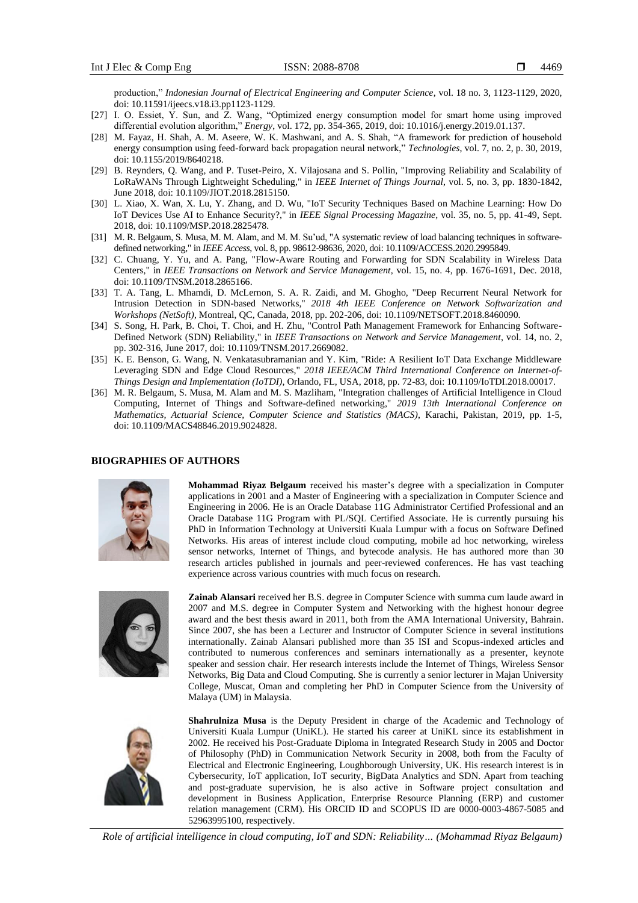production," *Indonesian Journal of Electrical Engineering and Computer Science*, vol. 18 no. 3, 1123-1129, 2020, doi: 10.11591/ijeecs.v18.i3.pp1123-1129.

- [27] I. O. Essiet, Y. Sun, and Z. Wang, "Optimized energy consumption model for smart home using improved differential evolution algorithm," *Energy*, vol. 172, pp. 354-365, 2019, doi: 10.1016/j.energy.2019.01.137.
- [28] M. Fayaz, H. Shah, A. M. Aseere, W. K. Mashwani, and A. S. Shah, "A framework for prediction of household energy consumption using feed-forward back propagation neural network," *Technologies*, vol. 7, no. 2, p. 30, 2019, doi: 10.1155/2019/8640218.
- [29] B. Reynders, Q. Wang, and P. Tuset-Peiro, X. Vilajosana and S. Pollin, "Improving Reliability and Scalability of LoRaWANs Through Lightweight Scheduling," in *IEEE Internet of Things Journal*, vol. 5, no. 3, pp. 1830-1842, June 2018, doi: 10.1109/JIOT.2018.2815150.
- [30] L. Xiao, X. Wan, X. Lu, Y. Zhang, and D. Wu, "IoT Security Techniques Based on Machine Learning: How Do IoT Devices Use AI to Enhance Security?," in *IEEE Signal Processing Magazine*, vol. 35, no. 5, pp. 41-49, Sept. 2018, doi: 10.1109/MSP.2018.2825478.
- [31] M. R. Belgaum, S. Musa, M. M. Alam, and M. M. Su'ud, "A systematic review of load balancing techniques in softwaredefined networking," in *IEEE Access*, vol. 8, pp. 98612-98636, 2020, doi: 10.1109/ACCESS.2020.2995849.
- [32] C. Chuang, Y. Yu, and A. Pang, "Flow-Aware Routing and Forwarding for SDN Scalability in Wireless Data Centers," in *IEEE Transactions on Network and Service Management*, vol. 15, no. 4, pp. 1676-1691, Dec. 2018, doi: 10.1109/TNSM.2018.2865166.
- [33] T. A. Tang, L. Mhamdi, D. McLernon, S. A. R. Zaidi, and M. Ghogho, "Deep Recurrent Neural Network for Intrusion Detection in SDN-based Networks," *2018 4th IEEE Conference on Network Softwarization and Workshops (NetSoft)*, Montreal, QC, Canada, 2018, pp. 202-206, doi: 10.1109/NETSOFT.2018.8460090.
- [34] S. Song, H. Park, B. Choi, T. Choi, and H. Zhu, "Control Path Management Framework for Enhancing Software-Defined Network (SDN) Reliability," in *IEEE Transactions on Network and Service Management*, vol. 14, no. 2, pp. 302-316, June 2017, doi: 10.1109/TNSM.2017.2669082.
- [35] K. E. Benson, G. Wang, N. Venkatasubramanian and Y. Kim, "Ride: A Resilient IoT Data Exchange Middleware Leveraging SDN and Edge Cloud Resources," *2018 IEEE/ACM Third International Conference on Internet-of-Things Design and Implementation (IoTDI)*, Orlando, FL, USA, 2018, pp. 72-83, doi: 10.1109/IoTDI.2018.00017.
- [36] M. R. Belgaum, S. Musa, M. Alam and M. S. Mazliham, "Integration challenges of Artificial Intelligence in Cloud Computing, Internet of Things and Software-defined networking," *2019 13th International Conference on Mathematics, Actuarial Science, Computer Science and Statistics (MACS)*, Karachi, Pakistan, 2019, pp. 1-5, doi: 10.1109/MACS48846.2019.9024828.

#### **BIOGRAPHIES OF AUTHORS**



**Mohammad Riyaz Belgaum** received his master's degree with a specialization in Computer applications in 2001 and a Master of Engineering with a specialization in Computer Science and Engineering in 2006. He is an Oracle Database 11G Administrator Certified Professional and an Oracle Database 11G Program with PL/SQL Certified Associate. He is currently pursuing his PhD in Information Technology at Universiti Kuala Lumpur with a focus on Software Defined Networks. His areas of interest include cloud computing, mobile ad hoc networking, wireless sensor networks, Internet of Things, and bytecode analysis. He has authored more than 30 research articles published in journals and peer-reviewed conferences. He has vast teaching experience across various countries with much focus on research.



**Zainab Alansari** received her B.S. degree in Computer Science with summa cum laude award in 2007 and M.S. degree in Computer System and Networking with the highest honour degree award and the best thesis award in 2011, both from the AMA International University, Bahrain. Since 2007, she has been a Lecturer and Instructor of Computer Science in several institutions internationally. Zainab Alansari published more than 35 ISI and Scopus-indexed articles and contributed to numerous conferences and seminars internationally as a presenter, keynote speaker and session chair. Her research interests include the Internet of Things, Wireless Sensor Networks, Big Data and Cloud Computing. She is currently a senior lecturer in Majan University College, Muscat, Oman and completing her PhD in Computer Science from the University of Malaya (UM) in Malaysia.



**Shahrulniza Musa** is the Deputy President in charge of the Academic and Technology of Universiti Kuala Lumpur (UniKL). He started his career at UniKL since its establishment in 2002. He received his Post-Graduate Diploma in Integrated Research Study in 2005 and Doctor of Philosophy (PhD) in Communication Network Security in 2008, both from the Faculty of Electrical and Electronic Engineering, Loughborough University, UK. His research interest is in Cybersecurity, IoT application, IoT security, BigData Analytics and SDN. Apart from teaching and post-graduate supervision, he is also active in Software project consultation and development in Business Application, Enterprise Resource Planning (ERP) and customer relation management (CRM). His ORCID ID and SCOPUS ID are 0000-0003-4867-5085 and 52963995100, respectively.